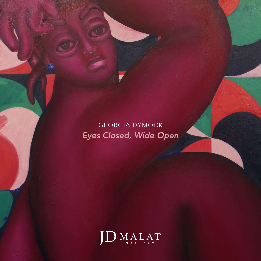GEORGIA DYMOCK *Eyes Closed, Wide Open*

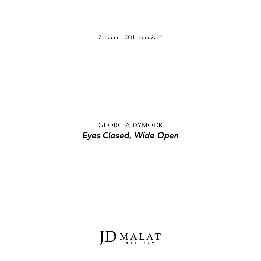7th June - 30th June 2022

# GEORGIA DYMOCK *Eyes Closed, Wide Open*

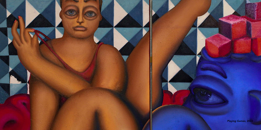

*Playing Games,* 2022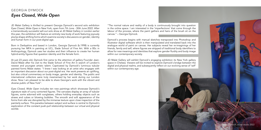

JD Malat Gallery is thrilled to present Georgia Dymock's second solo exhibition *Eyes Closed, Wide Open* in New York, open from 7th June - 30th June 2022. After a tremendously successful sell-out solo show at JD Malat Gallery in London earlier this year, the exhibition will feature an entirely new body of work featuring joyously plump shape-shifting forms which examine society's discussions on gender, identity and human form in our post-digital age.

Born in Derbyshire and based in London, Georgia Dymock (b.1998) is currently pursuing her MFA in painting at UCL, Slade School of Fine Art. With a BSc in Anthropology, Dymock uses her studies and their influence to create her human hybrid-entity figures that question identity and the female form.

At just 23 years old, Dymock first came to the attention of gallery Founder Jean-David Malat after his visit to the Slade School of Fine Art in search of London's newest and youngest artistic talent. Captivated by Dymock's luminous tubular painted forms Malat states: "I knew I was looking at an artist who engages with an important discussion about our post-digital era. Her work presents an uplifting, but also critical commentary on body image, gender and identity. The public and international collectors were truly mesmerised by her work during our London show. Now I am pleased to be able to share Georgia's work with the vibrant and diverse public of New York".

*Eyes Closed, Wide Open* includes ten new paintings which showcase Dymock's signature style of curvy contorted figures. The canvases display an array of tubular figures, some adorned with sunglasses, others holding everyday objects such as straws and cubes or blowing bubbles. The smooth and soft appearance of the forms from afar are disrupted by the immense texture upon close inspection of the painterly surface. This paradox between subject and surface is central to Dymock's exploration of the constant push-pull relationship between our virtual and physical worlds:

## GEORGIA DYMOCK *Eyes Closed, Wide Open*

"The normal nature and reality of a body is continuously brought into question in the online space. I am interested in the 'imperfections' that come through the labour of the process, where the paint gathers and hairs of the brush sit on the canvas." – Georgia Dymock.

Dymock's process begins with manual sketches transposed into Photoshop and Illustrator digital software which is then manipulated and translated back into the analogue world of paint on canvas. Her subjects reveal her re-imaginings of her friends, family and self, where figures are stripped of traditional body identifiers to allow for new meanings and identities that explore gender fluidity and body image within our contemporary society.

JD Malat Gallery will exhibit Dymock's engaging exhibition its New York gallery space in Chelsea. Viewers will be invited to explore Dymock's bridge between the digital and physical realms, and subsequently reflect on our evolving sense of 'self' within our contemporary age.

Georgia Dymock, in her studio 2022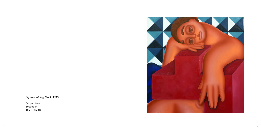7

*Figure Holding Block,* 2022

Oil on Linen 59 x 59 in 150 x 150 cm

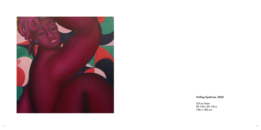## *Pulling Eyebrow,* 2022



Oil on linen 59 1/8 x 59 1/8 in 150 x 150 cm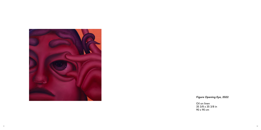

### *Figure Opening Eye,* 2022

Oil on linen 35 3/8 x 35 3/8 in 90 x 90 cm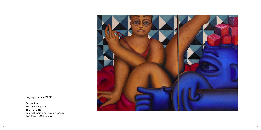

### *Playing Games,* 2022

Oil on linen 59 1/8 x 82 5/8 in 150 x 210 cm (Diptych part one: 150 x 120 cm, part two: 150 x 90 cm)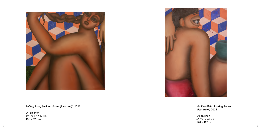



*Pulling Plait, Sucking Straw (Part one)'*, 2022

Oil on linen 59 1/8 x 47 1/4 in 150 x 120 cm

*'Pulling Plait, Sucking Straw (Part two)',* 2022

Oil on linen 66.9 in x 47.2 in 170 x 120 cm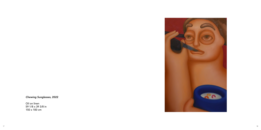## *Chewing Sunglasses*, 2022

Oil on linen 59 1/8 x 39 3/8 in 150 x 100 cm

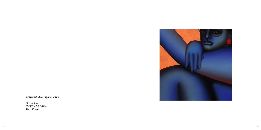

*Cropped Blue Figure,* 2022

Oil on linen 35 3/8 x 35 3/8 in 90 x 90 cm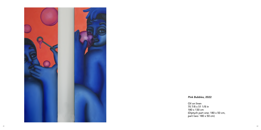

#### *Pink Bubbles,* 2022

Oil on linen 70 7/8 x 51 1/8 in 180 x 130 cm (Diptych part one: 180 x 50 cm, part two: 180 x 50 cm)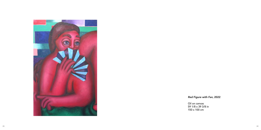*Red Figure with Fan,* 2022



Oil on canvas 150 x 100 cm

59 1/8 x 39 3/8 in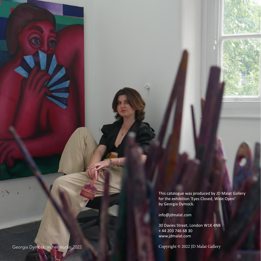This catalogue was produced by JD Malat Gallery for the exhibition 'Eyes Closed, Wide Open' by Georgia Dymock.

info@jdmalat.com

30 Davies Street, London W1K 4NB + 44 203 746 68 30 www.jdmalat.com

Georgia Dymock, in her studio 2022 **Conservation Conservation Conservation** Copyright © 2022 JD Malat Gallery